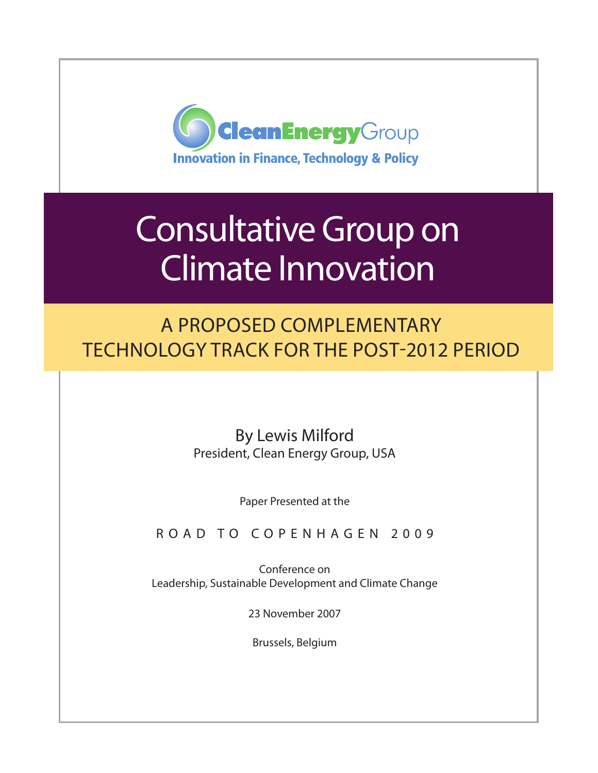

# Consultative Group on Climate Innovation

A Proposed Complementary Technology Track for the Post-2012 Period

> By Lewis Milford President, Clean Energy Group, USA

> > Paper Presented at the

ROAD TO COPENHAGEN 2009

Conference on Leadership, Sustainable Development and Climate Change

23 November 2007

Brussels, Belgium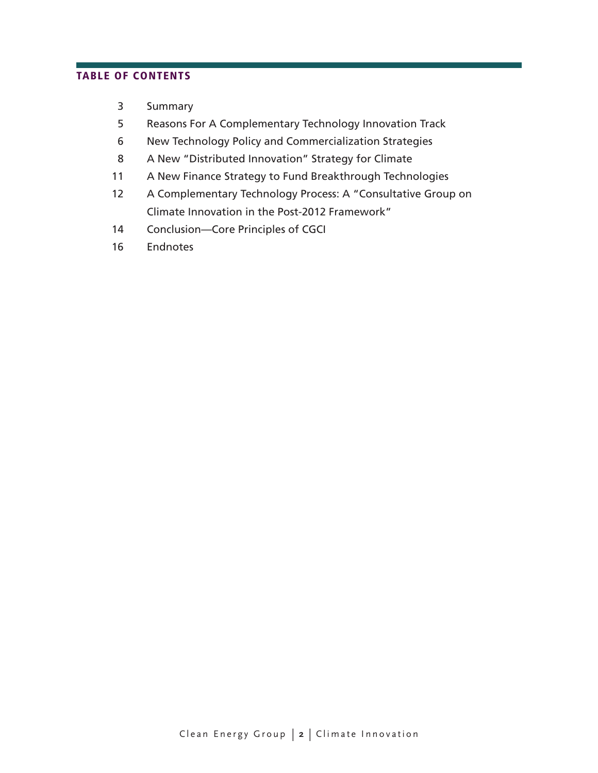### table of contents

- Summary
- Reasons For A Complementary Technology Innovation Track
- New Technology Policy and Commercialization Strategies
- A New "Distributed Innovation" Strategy for Climate
- A New Finance Strategy to Fund Breakthrough Technologies
- A Complementary Technology Process: A "Consultative Group on Climate Innovation in the Post-2012 Framework"
- Conclusion*—*Core Principles of CGCI
- Endnotes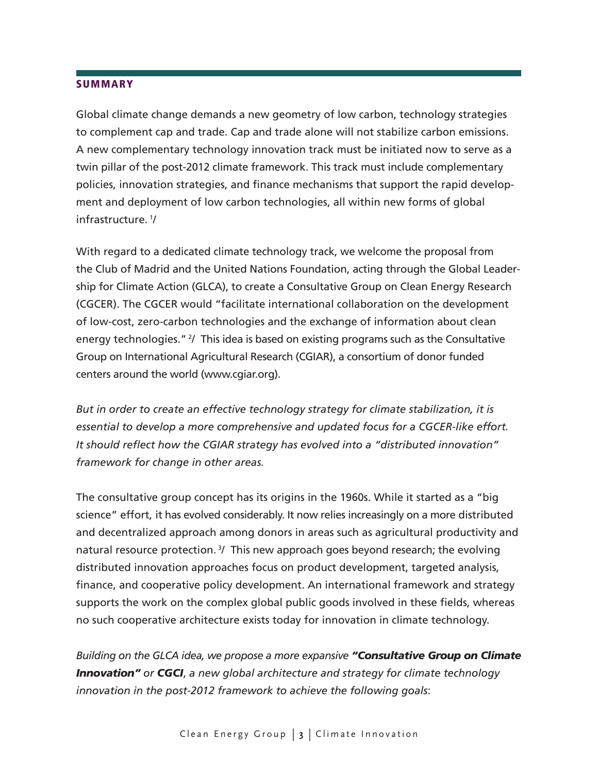#### **SUMMARY**

Global climate change demands a new geometry of low carbon, technology strategies to complement cap and trade. Cap and trade alone will not stabilize carbon emissions. A new complementary technology innovation track must be initiated now to serve as a twin pillar of the post-2012 climate framework. This track must include complementary policies, innovation strategies, and finance mechanisms that support the rapid development and deployment of low carbon technologies, all within new forms of global infrastructure. 1/

With regard to a dedicated climate technology track, we welcome the proposal from the Club of Madrid and the United Nations Foundation, acting through the Global Leadership for Climate Action (GLCA), to create a Consultative Group on Clean Energy Research (CGCER). The CGCER would "facilitate international collaboration on the development of low-cost, zero-carbon technologies and the exchange of information about clean energy technologies." 2/ This idea is based on existing programs such as the Consultative Group on International Agricultural Research (CGIAR), a consortium of donor funded centers around the world (www.cgiar.org).

*But in order to create an effective technology strategy for climate stabilization, it is essential to develop a more comprehensive and updated focus for a CGCER-like effort. It should reflect how the CGIAR strategy has evolved into a "distributed innovation" framework for change in other areas.* 

The consultative group concept has its origins in the 1960s. While it started as a "big science" effort, it has evolved considerably. It now relies increasingly on a more distributed and decentralized approach among donors in areas such as agricultural productivity and natural resource protection.<sup>3</sup>/ This new approach goes beyond research; the evolving distributed innovation approaches focus on product development, targeted analysis, finance, and cooperative policy development. An international framework and strategy supports the work on the complex global public goods involved in these fields, whereas no such cooperative architecture exists today for innovation in climate technology.

*Building on the GLCA idea, we propose a more expansive "Consultative Group on Climate Innovation" or CGCI*, *a new global architecture and strategy for climate technology innovation in the post-2012 framework to achieve the following goals*: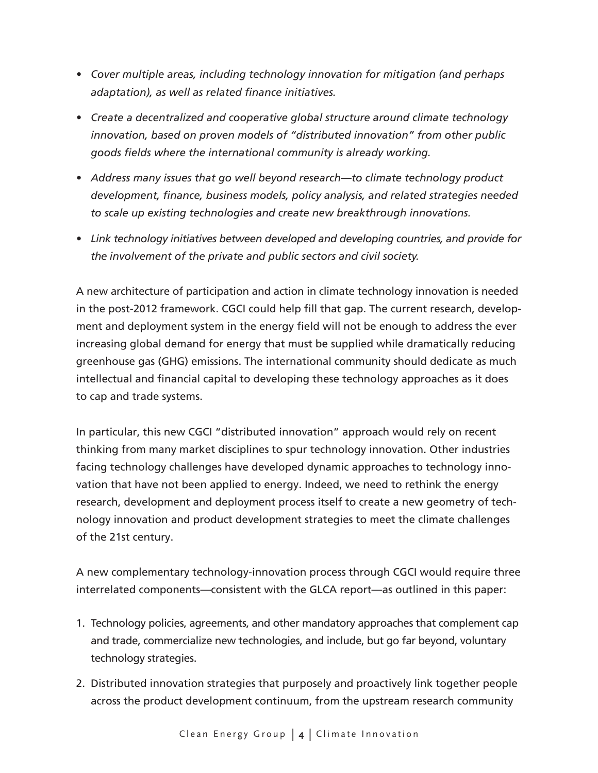- *• Cover multiple areas, including technology innovation for mitigation (and perhaps adaptation), as well as related finance initiatives.*
- *• Create a decentralized and cooperative global structure around climate technology innovation, based on proven models of "distributed innovation" from other public goods fields where the international community is already working.*
- *• Address many issues that go well beyond research—to climate technology product development, finance, business models, policy analysis, and related strategies needed to scale up existing technologies and create new breakthrough innovations.*
- *• Link technology initiatives between developed and developing countries, and provide for the involvement of the private and public sectors and civil society.*

A new architecture of participation and action in climate technology innovation is needed in the post-2012 framework. CGCI could help fill that gap. The current research, development and deployment system in the energy field will not be enough to address the ever increasing global demand for energy that must be supplied while dramatically reducing greenhouse gas (GHG) emissions. The international community should dedicate as much intellectual and financial capital to developing these technology approaches as it does to cap and trade systems.

In particular, this new CGCI "distributed innovation" approach would rely on recent thinking from many market disciplines to spur technology innovation. Other industries facing technology challenges have developed dynamic approaches to technology innovation that have not been applied to energy. Indeed, we need to rethink the energy research, development and deployment process itself to create a new geometry of technology innovation and product development strategies to meet the climate challenges of the 21st century.

A new complementary technology-innovation process through CGCI would require three interrelated components—consistent with the GLCA report—as outlined in this paper:

- 1. Technology policies, agreements, and other mandatory approaches that complement cap and trade, commercialize new technologies, and include, but go far beyond, voluntary technology strategies.
- 2. Distributed innovation strategies that purposely and proactively link together people across the product development continuum, from the upstream research community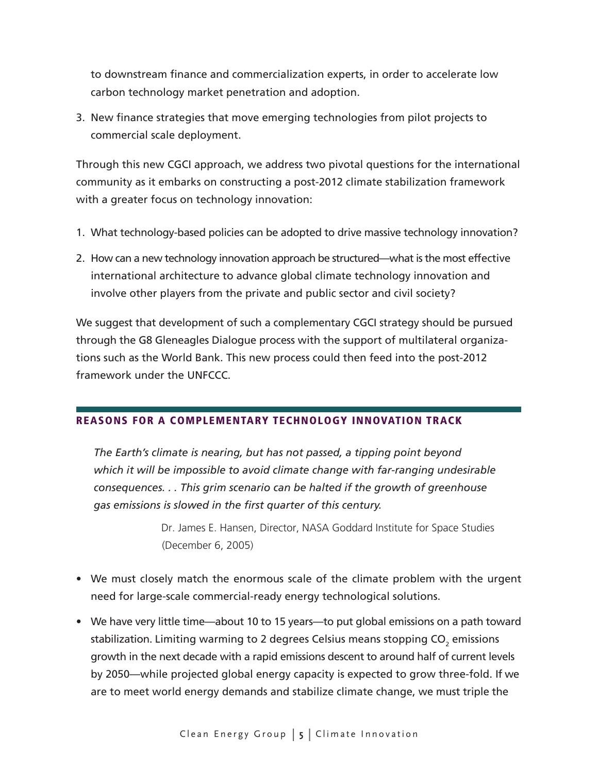to downstream finance and commercialization experts, in order to accelerate low carbon technology market penetration and adoption.

3. New finance strategies that move emerging technologies from pilot projects to commercial scale deployment.

Through this new CGCI approach, we address two pivotal questions for the international community as it embarks on constructing a post-2012 climate stabilization framework with a greater focus on technology innovation:

- 1. What technology-based policies can be adopted to drive massive technology innovation?
- 2. How can a new technology innovation approach be structured—what is the most effective international architecture to advance global climate technology innovation and involve other players from the private and public sector and civil society?

We suggest that development of such a complementary CGCI strategy should be pursued through the G8 Gleneagles Dialogue process with the support of multilateral organizations such as the World Bank. This new process could then feed into the post-2012 framework under the UNFCCC.

## Reasons for a Complementary Technology Innovation Track

*The Earth's climate is nearing, but has not passed, a tipping point beyond which it will be impossible to avoid climate change with far-ranging undesirable consequences. . . This grim scenario can be halted if the growth of greenhouse gas emissions is slowed in the first quarter of this century.* 

> Dr. James E. Hansen, Director, NASA Goddard Institute for Space Studies (December 6, 2005)

- We must closely match the enormous scale of the climate problem with the urgent need for large-scale commercial-ready energy technological solutions.
- We have very little time—about 10 to 15 years—to put global emissions on a path toward stabilization. Limiting warming to 2 degrees Celsius means stopping CO $_{_2}$  emissions growth in the next decade with a rapid emissions descent to around half of current levels by 2050—while projected global energy capacity is expected to grow three-fold. If we are to meet world energy demands and stabilize climate change, we must triple the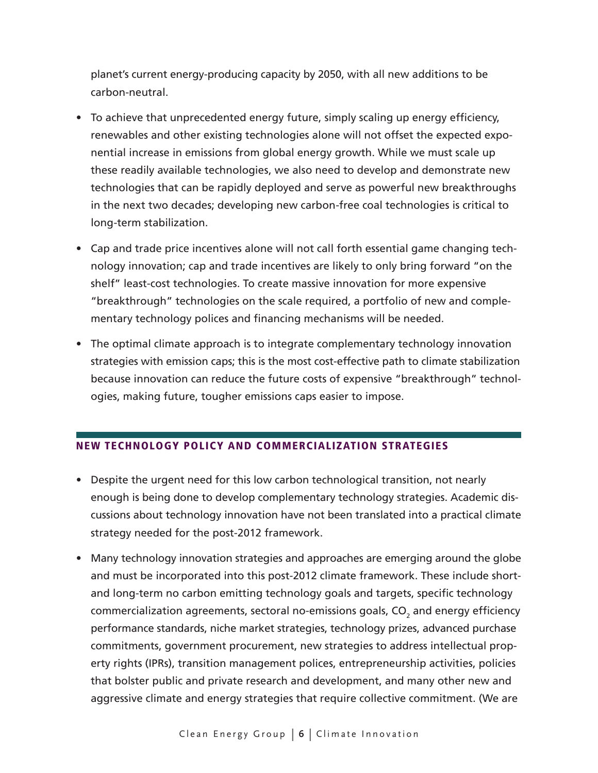planet's current energy-producing capacity by 2050, with all new additions to be carbon-neutral.

- To achieve that unprecedented energy future, simply scaling up energy efficiency, renewables and other existing technologies alone will not offset the expected exponential increase in emissions from global energy growth. While we must scale up these readily available technologies, we also need to develop and demonstrate new technologies that can be rapidly deployed and serve as powerful new breakthroughs in the next two decades; developing new carbon-free coal technologies is critical to long-term stabilization.
- Cap and trade price incentives alone will not call forth essential game changing technology innovation; cap and trade incentives are likely to only bring forward "on the shelf" least-cost technologies. To create massive innovation for more expensive "breakthrough" technologies on the scale required, a portfolio of new and complementary technology polices and financing mechanisms will be needed.
- The optimal climate approach is to integrate complementary technology innovation strategies with emission caps; this is the most cost-effective path to climate stabilization because innovation can reduce the future costs of expensive "breakthrough" technologies, making future, tougher emissions caps easier to impose.

## New Technology Policy and Commercialization Strategies

- Despite the urgent need for this low carbon technological transition, not nearly enough is being done to develop complementary technology strategies. Academic discussions about technology innovation have not been translated into a practical climate strategy needed for the post-2012 framework.
- Many technology innovation strategies and approaches are emerging around the globe and must be incorporated into this post-2012 climate framework. These include shortand long-term no carbon emitting technology goals and targets, specific technology commercialization agreements, sectoral no-emissions goals, CO $_{\textrm{\tiny{2}}}$  and energy efficiency performance standards, niche market strategies, technology prizes, advanced purchase commitments, government procurement, new strategies to address intellectual property rights (IPRs), transition management polices, entrepreneurship activities, policies that bolster public and private research and development, and many other new and aggressive climate and energy strategies that require collective commitment. (We are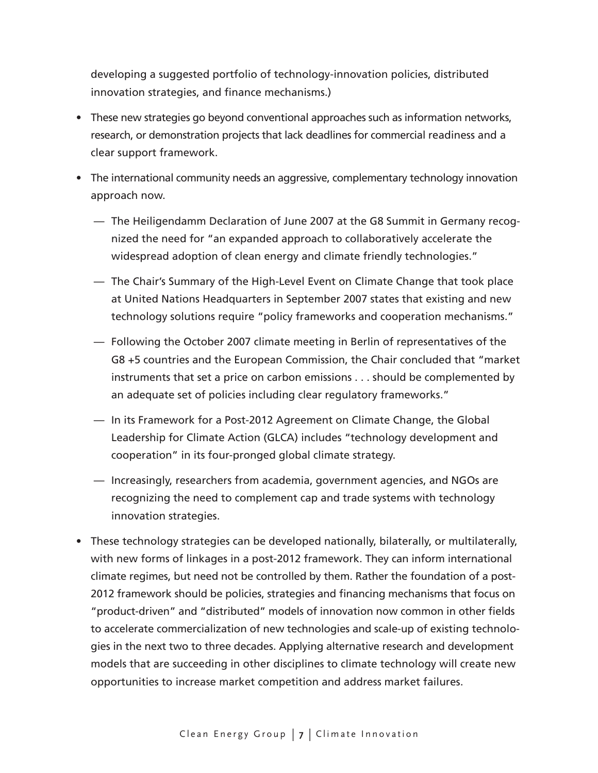developing a suggested portfolio of technology-innovation policies, distributed innovation strategies, and finance mechanisms.)

- These new strategies go beyond conventional approaches such as information networks, research, or demonstration projects that lack deadlines for commercial readiness and a clear support framework.
- The international community needs an aggressive, complementary technology innovation approach now.
	- The Heiligendamm Declaration of June 2007 at the G8 Summit in Germany recognized the need for "an expanded approach to collaboratively accelerate the widespread adoption of clean energy and climate friendly technologies."
	- The Chair's Summary of the High-Level Event on Climate Change that took place at United Nations Headquarters in September 2007 states that existing and new technology solutions require "policy frameworks and cooperation mechanisms."
	- Following the October 2007 climate meeting in Berlin of representatives of the G8 +5 countries and the European Commission, the Chair concluded that "market instruments that set a price on carbon emissions . . . should be complemented by an adequate set of policies including clear regulatory frameworks."
	- In its Framework for a Post-2012 Agreement on Climate Change, the Global Leadership for Climate Action (GLCA) includes "technology development and cooperation" in its four-pronged global climate strategy.
	- Increasingly, researchers from academia, government agencies, and NGOs are recognizing the need to complement cap and trade systems with technology innovation strategies.
- These technology strategies can be developed nationally, bilaterally, or multilaterally, with new forms of linkages in a post-2012 framework. They can inform international climate regimes, but need not be controlled by them. Rather the foundation of a post-2012 framework should be policies, strategies and financing mechanisms that focus on "product-driven" and "distributed" models of innovation now common in other fields to accelerate commercialization of new technologies and scale-up of existing technologies in the next two to three decades. Applying alternative research and development models that are succeeding in other disciplines to climate technology will create new opportunities to increase market competition and address market failures.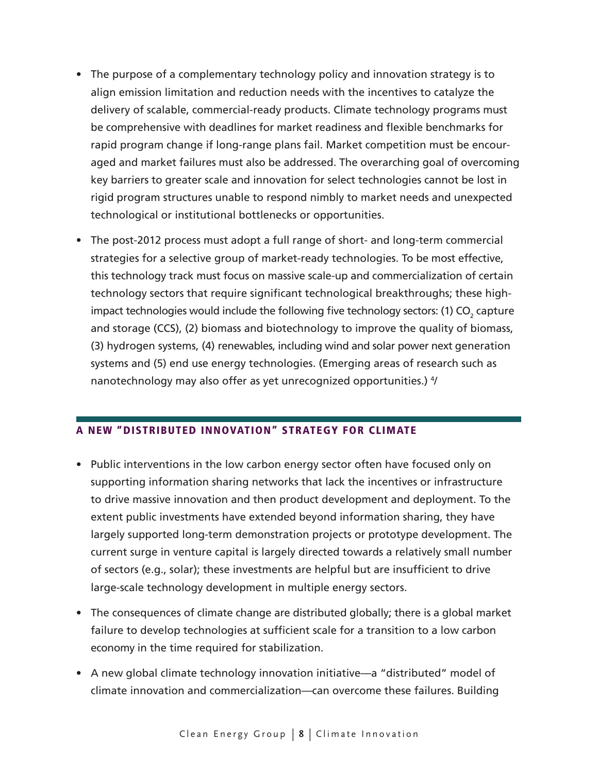- The purpose of a complementary technology policy and innovation strategy is to align emission limitation and reduction needs with the incentives to catalyze the delivery of scalable, commercial-ready products. Climate technology programs must be comprehensive with deadlines for market readiness and flexible benchmarks for rapid program change if long-range plans fail. Market competition must be encouraged and market failures must also be addressed. The overarching goal of overcoming key barriers to greater scale and innovation for select technologies cannot be lost in rigid program structures unable to respond nimbly to market needs and unexpected technological or institutional bottlenecks or opportunities.
- The post-2012 process must adopt a full range of short- and long-term commercial strategies for a selective group of market-ready technologies. To be most effective, this technology track must focus on massive scale-up and commercialization of certain technology sectors that require significant technological breakthroughs; these highimpact technologies would include the following five technology sectors: (1) CO<sub>2</sub> capture and storage (CCS), (2) biomass and biotechnology to improve the quality of biomass, (3) hydrogen systems, (4) renewables, including wind and solar power next generation systems and (5) end use energy technologies. (Emerging areas of research such as nanotechnology may also offer as yet unrecognized opportunities.) <sup>4</sup>/

## A New "Distributed Innovation" Strategy for Climate

- Public interventions in the low carbon energy sector often have focused only on supporting information sharing networks that lack the incentives or infrastructure to drive massive innovation and then product development and deployment. To the extent public investments have extended beyond information sharing, they have largely supported long-term demonstration projects or prototype development. The current surge in venture capital is largely directed towards a relatively small number of sectors (e.g., solar); these investments are helpful but are insufficient to drive large-scale technology development in multiple energy sectors.
- The consequences of climate change are distributed globally; there is a global market failure to develop technologies at sufficient scale for a transition to a low carbon economy in the time required for stabilization.
- A new global climate technology innovation initiative—a "distributed" model of climate innovation and commercialization—can overcome these failures. Building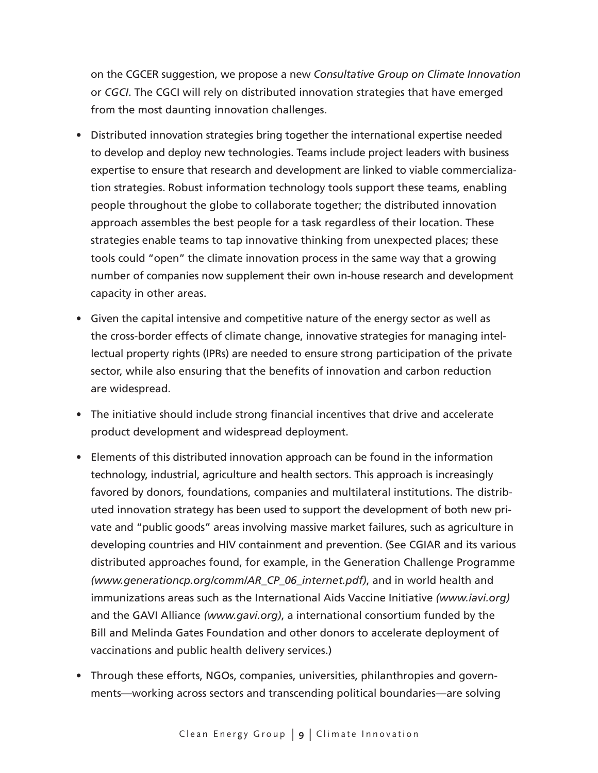on the CGCER suggestion, we propose a new *Consultative Group on Climate Innovation* or *CGCI*. The CGCI will rely on distributed innovation strategies that have emerged from the most daunting innovation challenges.

- Distributed innovation strategies bring together the international expertise needed to develop and deploy new technologies. Teams include project leaders with business expertise to ensure that research and development are linked to viable commercialization strategies. Robust information technology tools support these teams, enabling people throughout the globe to collaborate together; the distributed innovation approach assembles the best people for a task regardless of their location. These strategies enable teams to tap innovative thinking from unexpected places; these tools could "open" the climate innovation process in the same way that a growing number of companies now supplement their own in-house research and development capacity in other areas.
- Given the capital intensive and competitive nature of the energy sector as well as the cross-border effects of climate change, innovative strategies for managing intellectual property rights (IPRs) are needed to ensure strong participation of the private sector, while also ensuring that the benefits of innovation and carbon reduction are widespread.
- The initiative should include strong financial incentives that drive and accelerate product development and widespread deployment.
- Elements of this distributed innovation approach can be found in the information technology, industrial, agriculture and health sectors. This approach is increasingly favored by donors, foundations, companies and multilateral institutions. The distributed innovation strategy has been used to support the development of both new private and "public goods" areas involving massive market failures, such as agriculture in developing countries and HIV containment and prevention. (See CGIAR and its various distributed approaches found, for example, in the Generation Challenge Programme *(www.generationcp.org/comm/AR\_CP\_06\_internet.pdf)*, and in world health and immunizations areas such as the International Aids Vaccine Initiative *(www.iavi.org)* and the GAVI Alliance *(www.gavi.org)*, a international consortium funded by the Bill and Melinda Gates Foundation and other donors to accelerate deployment of vaccinations and public health delivery services.)
- Through these efforts, NGOs, companies, universities, philanthropies and governments—working across sectors and transcending political boundaries—are solving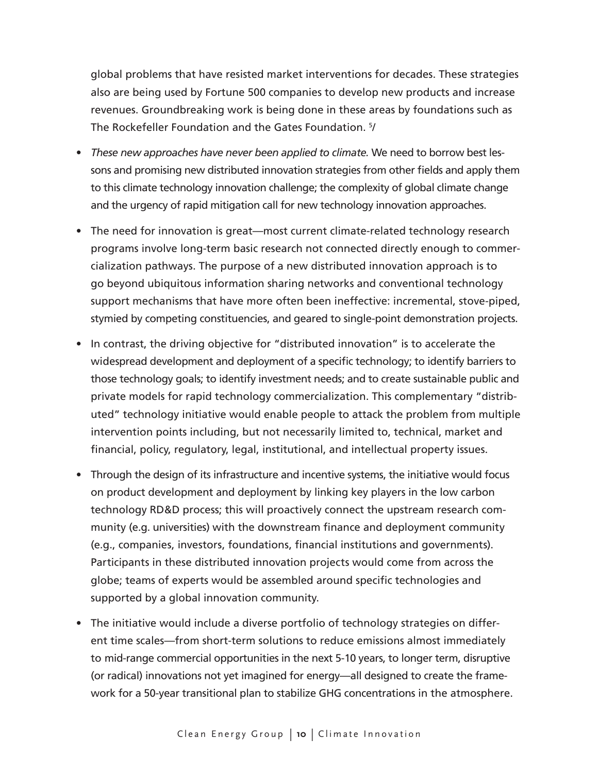global problems that have resisted market interventions for decades. These strategies also are being used by Fortune 500 companies to develop new products and increase revenues. Groundbreaking work is being done in these areas by foundations such as The Rockefeller Foundation and the Gates Foundation. 5/

- *These new approaches have never been applied to climate.* We need to borrow best lessons and promising new distributed innovation strategies from other fields and apply them to this climate technology innovation challenge; the complexity of global climate change and the urgency of rapid mitigation call for new technology innovation approaches.
- The need for innovation is great—most current climate-related technology research programs involve long-term basic research not connected directly enough to commercialization pathways. The purpose of a new distributed innovation approach is to go beyond ubiquitous information sharing networks and conventional technology support mechanisms that have more often been ineffective: incremental, stove-piped, stymied by competing constituencies, and geared to single-point demonstration projects.
- In contrast, the driving objective for "distributed innovation" is to accelerate the widespread development and deployment of a specific technology; to identify barriers to those technology goals; to identify investment needs; and to create sustainable public and private models for rapid technology commercialization. This complementary "distributed" technology initiative would enable people to attack the problem from multiple intervention points including, but not necessarily limited to, technical, market and financial, policy, regulatory, legal, institutional, and intellectual property issues.
- Through the design of its infrastructure and incentive systems, the initiative would focus on product development and deployment by linking key players in the low carbon technology RD&D process; this will proactively connect the upstream research community (e.g. universities) with the downstream finance and deployment community (e.g., companies, investors, foundations, financial institutions and governments). Participants in these distributed innovation projects would come from across the globe; teams of experts would be assembled around specific technologies and supported by a global innovation community.
- The initiative would include a diverse portfolio of technology strategies on different time scales—from short-term solutions to reduce emissions almost immediately to mid-range commercial opportunities in the next 5-10 years, to longer term, disruptive (or radical) innovations not yet imagined for energy—all designed to create the framework for a 50-year transitional plan to stabilize GHG concentrations in the atmosphere.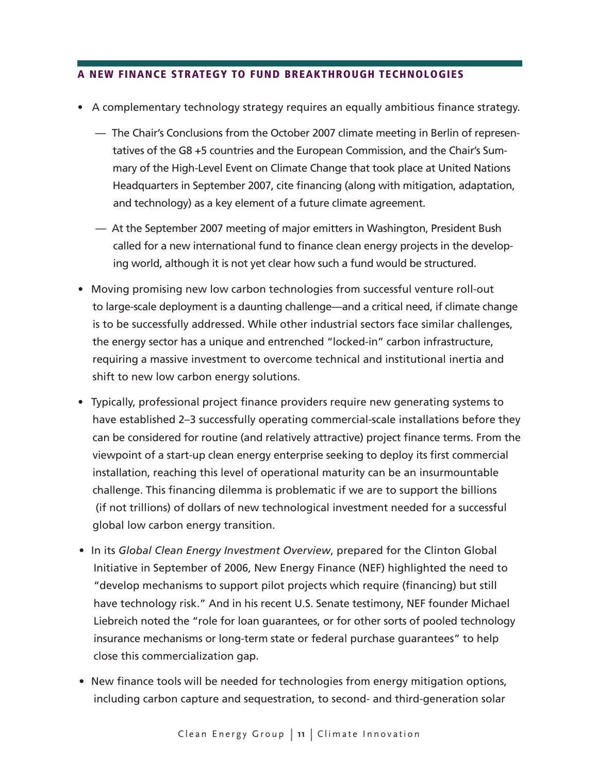## A New Finance Strategy to Fund Breakthrough Technologies

- A complementary technology strategy requires an equally ambitious finance strategy.
	- The Chair's Conclusions from the October 2007 climate meeting in Berlin of representatives of the G8 +5 countries and the European Commission, and the Chair's Summary of the High-Level Event on Climate Change that took place at United Nations Headquarters in September 2007, cite financing (along with mitigation, adaptation, and technology) as a key element of a future climate agreement.
	- At the September 2007 meeting of major emitters in Washington, President Bush called for a new international fund to finance clean energy projects in the developing world, although it is not yet clear how such a fund would be structured.
- Moving promising new low carbon technologies from successful venture roll-out to large-scale deployment is a daunting challenge—and a critical need, if climate change is to be successfully addressed. While other industrial sectors face similar challenges, the energy sector has a unique and entrenched "locked-in" carbon infrastructure, requiring a massive investment to overcome technical and institutional inertia and shift to new low carbon energy solutions.
- Typically, professional project finance providers require new generating systems to have established 2–3 successfully operating commercial-scale installations before they can be considered for routine (and relatively attractive) project finance terms. From the viewpoint of a start-up clean energy enterprise seeking to deploy its first commercial installation, reaching this level of operational maturity can be an insurmountable challenge. This financing dilemma is problematic if we are to support the billions (if not trillions) of dollars of new technological investment needed for a successful global low carbon energy transition.
- In its *Global Clean Energy Investment Overview*, prepared for the Clinton Global Initiative in September of 2006, New Energy Finance (NEF) highlighted the need to "develop mechanisms to support pilot projects which require (financing) but still have technology risk." And in his recent U.S. Senate testimony, NEF founder Michael Liebreich noted the "role for loan guarantees, or for other sorts of pooled technology insurance mechanisms or long-term state or federal purchase guarantees" to help close this commercialization gap.
- New finance tools will be needed for technologies from energy mitigation options, including carbon capture and sequestration, to second- and third-generation solar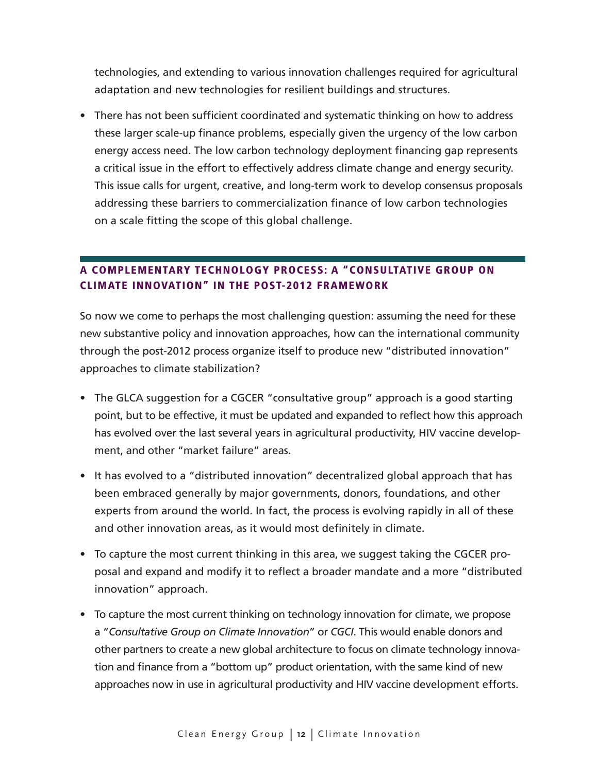technologies, and extending to various innovation challenges required for agricultural adaptation and new technologies for resilient buildings and structures.

• There has not been sufficient coordinated and systematic thinking on how to address these larger scale-up finance problems, especially given the urgency of the low carbon energy access need. The low carbon technology deployment financing gap represents a critical issue in the effort to effectively address climate change and energy security. This issue calls for urgent, creative, and long-term work to develop consensus proposals addressing these barriers to commercialization finance of low carbon technologies on a scale fitting the scope of this global challenge.

# A Complementary Technology Process: A "Consultative Group on Climate Innovation" in the Post-2012 Framework

So now we come to perhaps the most challenging question: assuming the need for these new substantive policy and innovation approaches, how can the international community through the post-2012 process organize itself to produce new "distributed innovation" approaches to climate stabilization?

- The GLCA suggestion for a CGCER "consultative group" approach is a good starting point, but to be effective, it must be updated and expanded to reflect how this approach has evolved over the last several years in agricultural productivity, HIV vaccine development, and other "market failure" areas.
- It has evolved to a "distributed innovation" decentralized global approach that has been embraced generally by major governments, donors, foundations, and other experts from around the world. In fact, the process is evolving rapidly in all of these and other innovation areas, as it would most definitely in climate.
- To capture the most current thinking in this area, we suggest taking the CGCER proposal and expand and modify it to reflect a broader mandate and a more "distributed innovation" approach.
- To capture the most current thinking on technology innovation for climate, we propose a "*Consultative Group on Climate Innovation*" or *CGCI*. This would enable donors and other partners to create a new global architecture to focus on climate technology innovation and finance from a "bottom up" product orientation, with the same kind of new approaches now in use in agricultural productivity and HIV vaccine development efforts.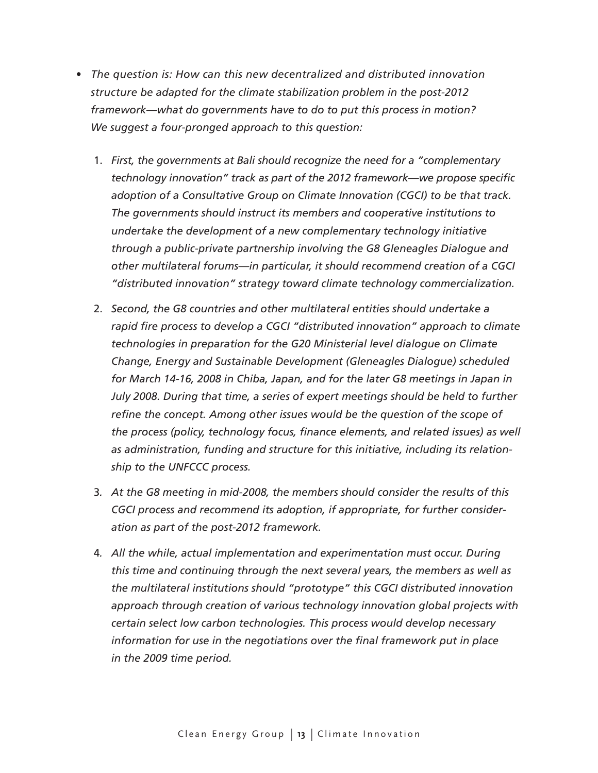- *The question is: How can this new decentralized and distributed innovation structure be adapted for the climate stabilization problem in the post-2012 framework—what do governments have to do to put this process in motion? We suggest a four-pronged approach to this question:*
	- 1. *First, the governments at Bali should recognize the need for a "complementary technology innovation" track as part of the 2012 framework—we propose specific adoption of a Consultative Group on Climate Innovation (CGCI) to be that track. The governments should instruct its members and cooperative institutions to undertake the development of a new complementary technology initiative through a public-private partnership involving the G8 Gleneagles Dialogue and other multilateral forums—in particular, it should recommend creation of a CGCI "distributed innovation" strategy toward climate technology commercialization.*
	- 2. *Second, the G8 countries and other multilateral entities should undertake a rapid fire process to develop a CGCI "distributed innovation" approach to climate technologies in preparation for the G20 Ministerial level dialogue on Climate Change, Energy and Sustainable Development (Gleneagles Dialogue) scheduled for March 14-16, 2008 in Chiba, Japan, and for the later G8 meetings in Japan in July 2008. During that time, a series of expert meetings should be held to further refine the concept. Among other issues would be the question of the scope of the process (policy, technology focus, finance elements, and related issues) as well as administration, funding and structure for this initiative, including its relationship to the UNFCCC process.*
	- 3*. At the G8 meeting in mid-2008, the members should consider the results of this CGCI process and recommend its adoption, if appropriate, for further consideration as part of the post-2012 framework.*
	- 4*. All the while, actual implementation and experimentation must occur. During this time and continuing through the next several years, the members as well as the multilateral institutions should "prototype" this CGCI distributed innovation approach through creation of various technology innovation global projects with certain select low carbon technologies. This process would develop necessary information for use in the negotiations over the final framework put in place in the 2009 time period.*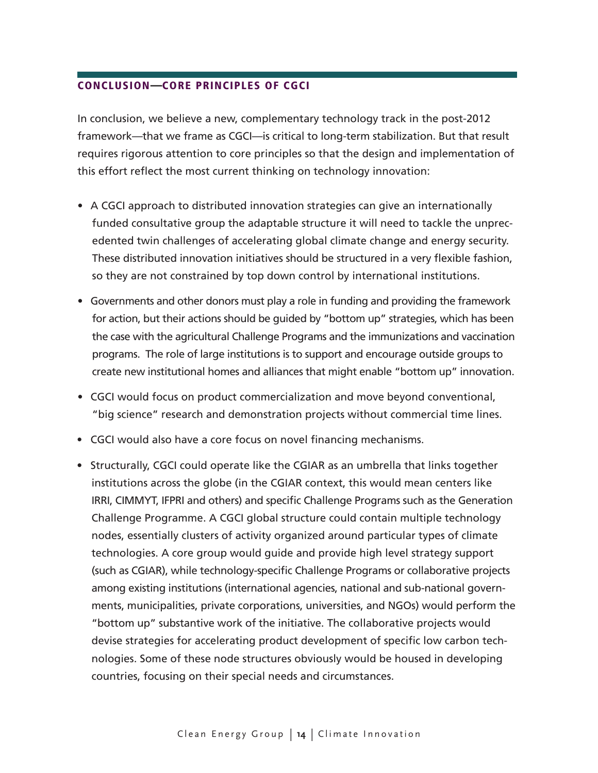### CONCLUSION—Core Principles of CGCI

In conclusion, we believe a new, complementary technology track in the post-2012 framework—that we frame as CGCI—is critical to long-term stabilization. But that result requires rigorous attention to core principles so that the design and implementation of this effort reflect the most current thinking on technology innovation:

- A CGCI approach to distributed innovation strategies can give an internationally funded consultative group the adaptable structure it will need to tackle the unprecedented twin challenges of accelerating global climate change and energy security. These distributed innovation initiatives should be structured in a very flexible fashion, so they are not constrained by top down control by international institutions.
- Governments and other donors must play a role in funding and providing the framework for action, but their actions should be guided by "bottom up" strategies, which has been the case with the agricultural Challenge Programs and the immunizations and vaccination programs. The role of large institutions is to support and encourage outside groups to create new institutional homes and alliances that might enable "bottom up" innovation.
- CGCI would focus on product commercialization and move beyond conventional, "big science" research and demonstration projects without commercial time lines.
- CGCI would also have a core focus on novel financing mechanisms.
- Structurally, CGCI could operate like the CGIAR as an umbrella that links together institutions across the globe (in the CGIAR context, this would mean centers like IRRI, CIMMYT, IFPRI and others) and specific Challenge Programs such as the Generation Challenge Programme. A CGCI global structure could contain multiple technology nodes, essentially clusters of activity organized around particular types of climate technologies. A core group would guide and provide high level strategy support (such as CGIAR), while technology-specific Challenge Programs or collaborative projects among existing institutions (international agencies, national and sub-national governments, municipalities, private corporations, universities, and NGOs) would perform the "bottom up" substantive work of the initiative. The collaborative projects would devise strategies for accelerating product development of specific low carbon technologies. Some of these node structures obviously would be housed in developing countries, focusing on their special needs and circumstances.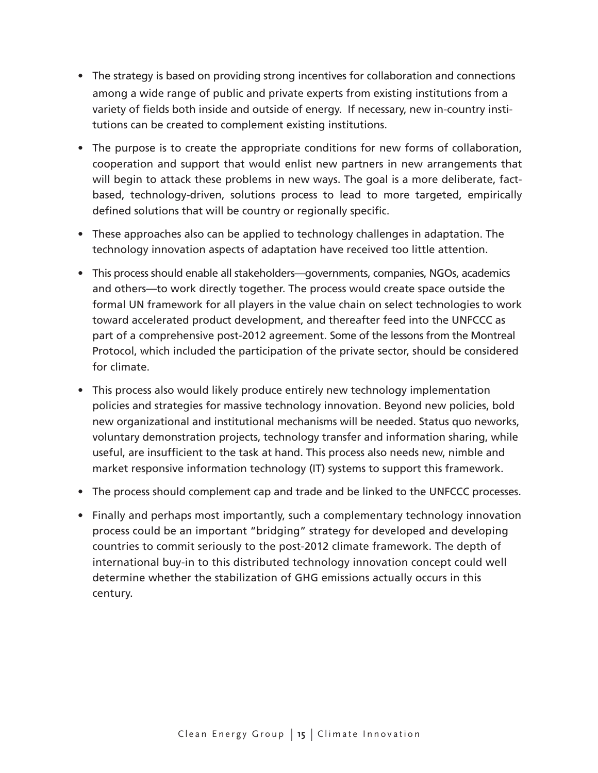- The strategy is based on providing strong incentives for collaboration and connections among a wide range of public and private experts from existing institutions from a variety of fields both inside and outside of energy. If necessary, new in-country institutions can be created to complement existing institutions.
- The purpose is to create the appropriate conditions for new forms of collaboration, cooperation and support that would enlist new partners in new arrangements that will begin to attack these problems in new ways. The goal is a more deliberate, factbased, technology-driven, solutions process to lead to more targeted, empirically defined solutions that will be country or regionally specific.
- These approaches also can be applied to technology challenges in adaptation. The technology innovation aspects of adaptation have received too little attention.
- This process should enable all stakeholders—governments, companies, NGOs, academics and others—to work directly together. The process would create space outside the formal UN framework for all players in the value chain on select technologies to work toward accelerated product development, and thereafter feed into the UNFCCC as part of a comprehensive post-2012 agreement. Some of the lessons from the Montreal Protocol, which included the participation of the private sector, should be considered for climate.
- This process also would likely produce entirely new technology implementation policies and strategies for massive technology innovation. Beyond new policies, bold new organizational and institutional mechanisms will be needed. Status quo neworks, voluntary demonstration projects, technology transfer and information sharing, while useful, are insufficient to the task at hand. This process also needs new, nimble and market responsive information technology (IT) systems to support this framework.
- The process should complement cap and trade and be linked to the UNFCCC processes.
- Finally and perhaps most importantly, such a complementary technology innovation process could be an important "bridging" strategy for developed and developing countries to commit seriously to the post-2012 climate framework. The depth of international buy-in to this distributed technology innovation concept could well determine whether the stabilization of GHG emissions actually occurs in this century.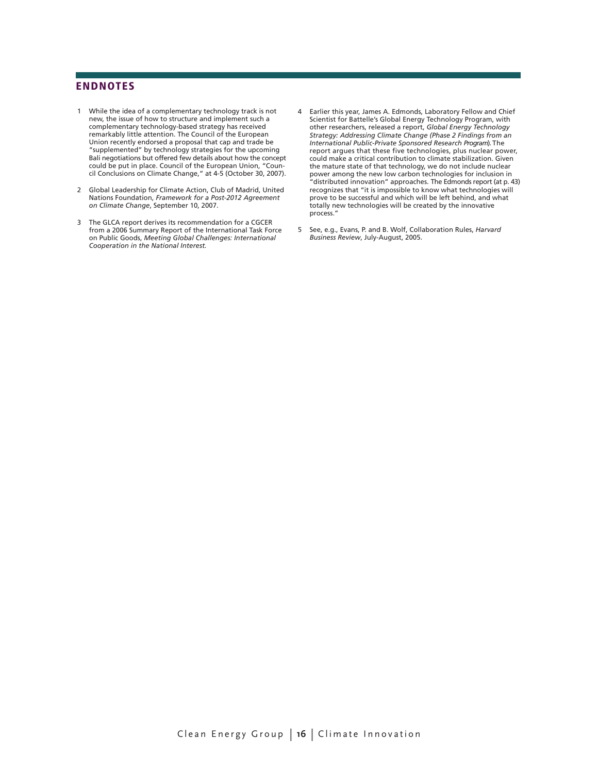#### **ENDNOTES**

- 1 While the idea of a complementary technology track is not new, the issue of how to structure and implement such a complementary technology-based strategy has received remarkably little attention. The Council of the European Union recently endorsed a proposal that cap and trade be "supplemented" by technology strategies for the upcoming Bali negotiations but offered few details about how the concept could be put in place. Council of the European Union, "Council Conclusions on Climate Change," at 4-5 (October 30, 2007).
- 2 Global Leadership for Climate Action, Club of Madrid, United Nations Foundation, *Framework for a Post-2012 Agreement on Climate Change*, September 10, 2007.
- 3 The GLCA report derives its recommendation for a CGCER from a 2006 Summary Report of the International Task Force on Public Goods, *Meeting Global Challenges: International Cooperation in the National Interest.*
- 4 Earlier this year, James A. Edmonds, Laboratory Fellow and Chief Scientist for Battelle's Global Energy Technology Program, with other researchers, released a report, *Global Energy Technology Strategy: Addressing Climate Change (Phase 2 Findings from an International Public-Private Sponsored Research Program*). The report argues that these five technologies, plus nuclear power, could make a critical contribution to climate stabilization. Given the mature state of that technology, we do not include nuclear power among the new low carbon technologies for inclusion in "distributed innovation" approaches. The Edmonds report (at p. 43) recognizes that "it is impossible to know what technologies will prove to be successful and which will be left behind, and what totally new technologies will be created by the innovative process."
- 5 See, e.g., Evans, P. and B. Wolf, Collaboration Rules, *Harvard Business Review*, July-August, 2005.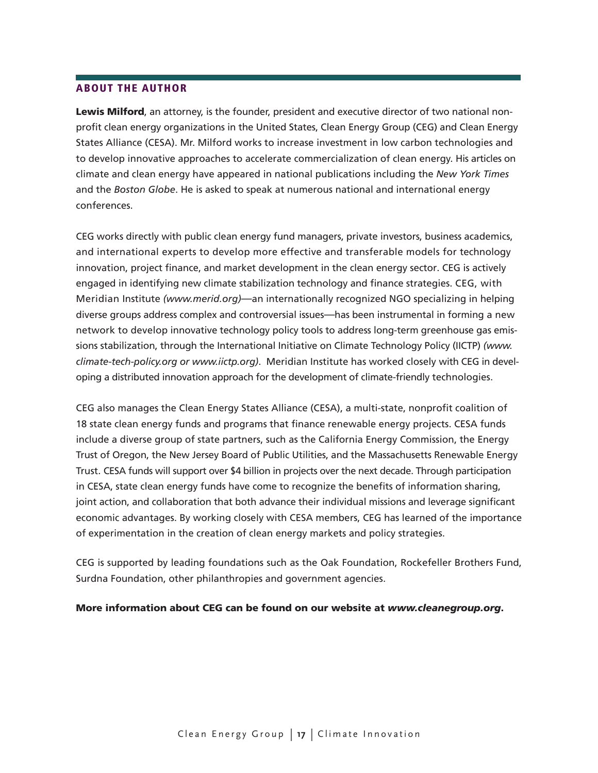#### About the author

Lewis Milford, an attorney, is the founder, president and executive director of two national nonprofit clean energy organizations in the United States, Clean Energy Group (CEG) and Clean Energy States Alliance (CESA). Mr. Milford works to increase investment in low carbon technologies and to develop innovative approaches to accelerate commercialization of clean energy. His articles on climate and clean energy have appeared in national publications including the *New York Times* and the *Boston Globe*. He is asked to speak at numerous national and international energy conferences.

CEG works directly with public clean energy fund managers, private investors, business academics, and international experts to develop more effective and transferable models for technology innovation, project finance, and market development in the clean energy sector. CEG is actively engaged in identifying new climate stabilization technology and finance strategies. CEG, with Meridian Institute *(www.merid.org)*—an internationally recognized NGO specializing in helping diverse groups address complex and controversial issues—has been instrumental in forming a new network to develop innovative technology policy tools to address long-term greenhouse gas emissions stabilization, through the International Initiative on Climate Technology Policy (IICTP) *(www. climate-tech-policy.org or www.iictp.org)*. Meridian Institute has worked closely with CEG in developing a distributed innovation approach for the development of climate-friendly technologies.

CEG also manages the Clean Energy States Alliance (CESA), a multi-state, nonprofit coalition of 18 state clean energy funds and programs that finance renewable energy projects. CESA funds include a diverse group of state partners, such as the California Energy Commission, the Energy Trust of Oregon, the New Jersey Board of Public Utilities, and the Massachusetts Renewable Energy Trust. CESA funds will support over \$4 billion in projects over the next decade. Through participation in CESA, state clean energy funds have come to recognize the benefits of information sharing, joint action, and collaboration that both advance their individual missions and leverage significant economic advantages. By working closely with CESA members, CEG has learned of the importance of experimentation in the creation of clean energy markets and policy strategies.

CEG is supported by leading foundations such as the Oak Foundation, Rockefeller Brothers Fund, Surdna Foundation, other philanthropies and government agencies.

#### More information about CEG can be found on our website at *www.cleanegroup.org*.